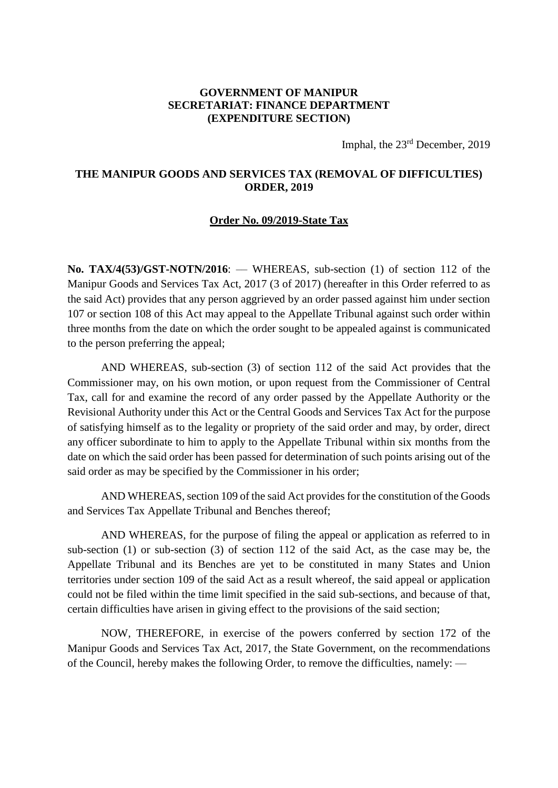## **GOVERNMENT OF MANIPUR SECRETARIAT: FINANCE DEPARTMENT (EXPENDITURE SECTION)**

Imphal, the 23rd December, 2019

## **THE MANIPUR GOODS AND SERVICES TAX (REMOVAL OF DIFFICULTIES) ORDER, 2019**

## **Order No. 09/2019-State Tax**

**No. TAX/4(53)/GST-NOTN/2016:** — WHEREAS, sub-section (1) of section 112 of the Manipur Goods and Services Tax Act, 2017 (3 of 2017) (hereafter in this Order referred to as the said Act) provides that any person aggrieved by an order passed against him under section 107 or section 108 of this Act may appeal to the Appellate Tribunal against such order within three months from the date on which the order sought to be appealed against is communicated to the person preferring the appeal;

AND WHEREAS, sub-section (3) of section 112 of the said Act provides that the Commissioner may, on his own motion, or upon request from the Commissioner of Central Tax, call for and examine the record of any order passed by the Appellate Authority or the Revisional Authority under this Act or the Central Goods and Services Tax Act for the purpose of satisfying himself as to the legality or propriety of the said order and may, by order, direct any officer subordinate to him to apply to the Appellate Tribunal within six months from the date on which the said order has been passed for determination of such points arising out of the said order as may be specified by the Commissioner in his order;

AND WHEREAS, section 109 of the said Act provides for the constitution of the Goods and Services Tax Appellate Tribunal and Benches thereof;

AND WHEREAS, for the purpose of filing the appeal or application as referred to in sub-section (1) or sub-section (3) of section 112 of the said Act, as the case may be, the Appellate Tribunal and its Benches are yet to be constituted in many States and Union territories under section 109 of the said Act as a result whereof, the said appeal or application could not be filed within the time limit specified in the said sub-sections, and because of that, certain difficulties have arisen in giving effect to the provisions of the said section;

NOW, THEREFORE, in exercise of the powers conferred by section 172 of the Manipur Goods and Services Tax Act, 2017, the State Government, on the recommendations of the Council, hereby makes the following Order, to remove the difficulties, namely: ––